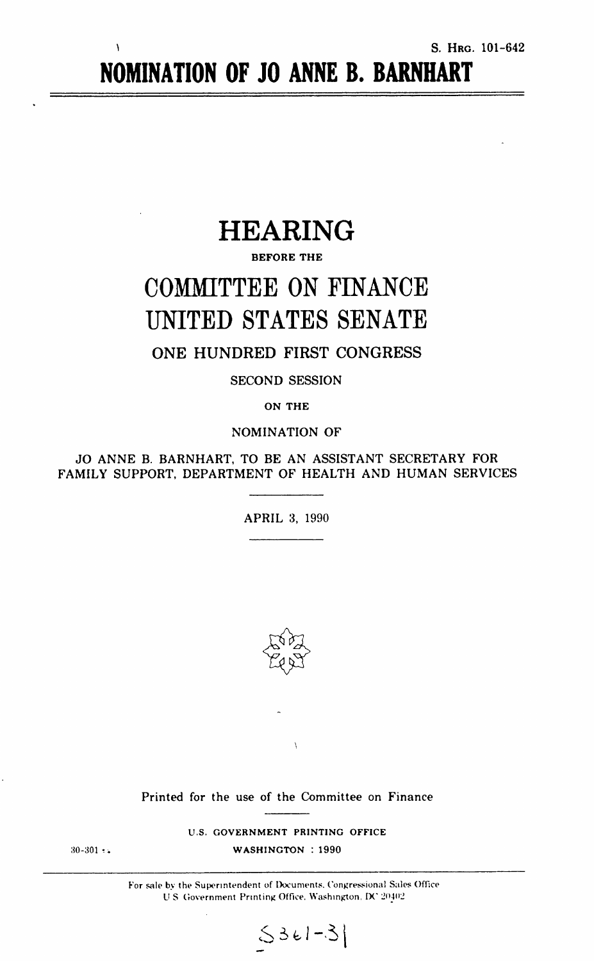# NOMINATION OF **JO ANNE** B. BARNHART

# HEARING

## BEFORE THE

# COMMITTEE ON FINANCE UNITED STATES SENATE

## ONE HUNDRED FIRST CONGRESS

## SECOND SESSION

**ON** THE

### NOMINATION OF

JO ANNE B. BARNHART, TO BE AN ASSISTANT SECRETARY FOR FAMILY SUPPORT, DEPARTMENT OF HEALTH AND HUMAN SERVICES

APRIL 3, 1990



Printed for the use of the Committee on Finance

**U.S. GOVERNMENT PRINTING OFFICE** 30-301 t **WASHINGTON : 1990**

For sale by the Superintendent of Documents. Congressional Sales Office U S Government Printing Office. Washington, **Df"** 204112

 $5361 - 3$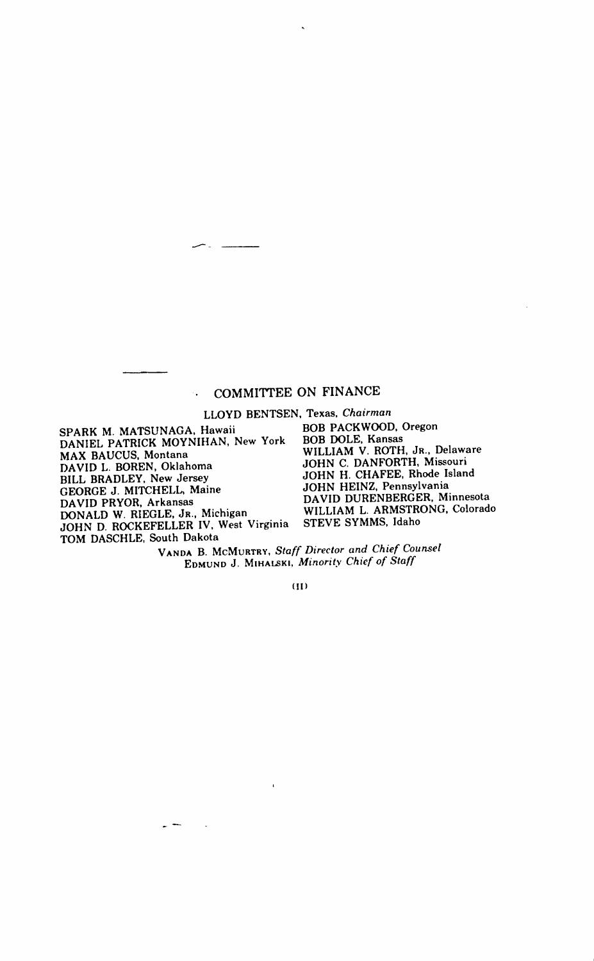## • COMMITTEE ON FINANCE

LLOYD BENTSEN, Texas, Chairman

SPARK M. MATSUNAGA, Hawaii DANIEL PATRICK MOYNIHAN, New York MAX BAUCUS, Montana DAVID L. BOREN, Oklahoma BILL BRADLEY, New Jersey GEORGE J. MITCHELL, Maine DAVID PRYOR, Arkansas DONALD W. RIEGLE, JR., Michigan JOHN D. ROCKEFELLER IV, West Virginia TOM DASCHLE, South Dakota

 $\overline{a}$ 

∽. ⊥

BOB PACKWOOD, Oregon BOB DOLE, Kansas WILLIAM V. ROTH, JR., Delaware JOHN C. DANFORTH, Missouri JOHN H. CHAFEE, Rhode Island JOHN HEINZ, Pennsylvania DAVID DURENBERGER, Minnesota WILLIAM L. ARMSTRONG, Colorado STEVE SYMMS, Idaho

**VANDA** B. MCMURTRY, *Staff Director and Chief Counsel* \_ \_ °**EDMUND** J. MIHALSKI, *Minority Chief of Staff*

**(1l)**

 $\overline{1}$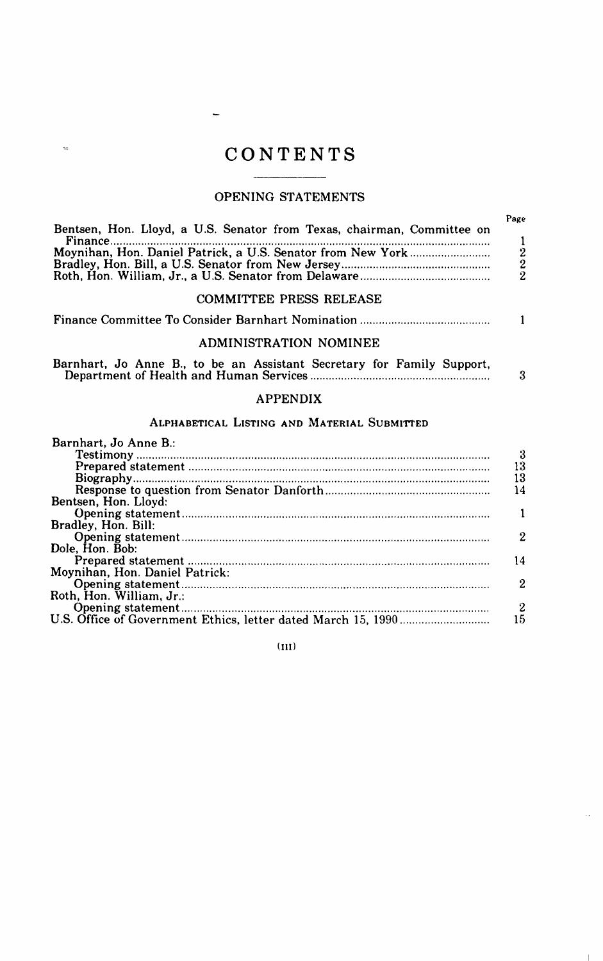## CONTENTS

i.

## OPENING STATEMENTS

| Bentsen, Hon. Lloyd, a U.S. Senator from Texas, chairman, Committee on | Page                                            |
|------------------------------------------------------------------------|-------------------------------------------------|
|                                                                        | $\begin{array}{c} 1 \\ 2 \\ 2 \\ 2 \end{array}$ |
| COMMITTEE PRESS RELEASE                                                |                                                 |
|                                                                        |                                                 |
| ADMINISTRATION NOMINEE                                                 |                                                 |
| Barnhart, Jo Anne B., to be an Assistant Secretary for Family Support, |                                                 |

| Darlinart, do Allite D., to be an Assistant Secretary for Failing Support, |  |  |  |  |
|----------------------------------------------------------------------------|--|--|--|--|
|                                                                            |  |  |  |  |

## APPENDIX

## **ALPHABETICAL** LISTING **AND** MATERIAL SUBMITTED

| Barnhart, Jo Anne B.:          |    |
|--------------------------------|----|
|                                | -3 |
|                                | 13 |
|                                | 13 |
|                                | 14 |
| Bentsen, Hon. Lloyd:           |    |
|                                |    |
| Bradley, Hon. Bill:            |    |
|                                | 2  |
| Dole, Hon. Bob:                |    |
|                                | 14 |
| Moynihan, Hon. Daniel Patrick: |    |
|                                | 2  |
| Roth, Hon. William, Jr.:       |    |
|                                | 2  |
|                                | 15 |

**(III)**

 $\mathbb{L}$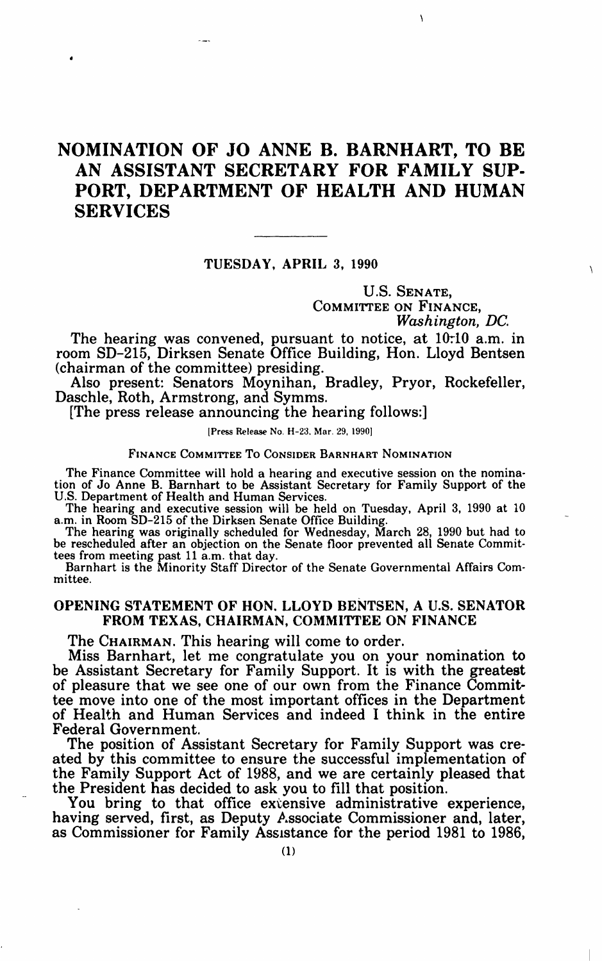## NOMINATION OF **JO ANNE** B. BARNHART, TO BE **AN ASSISTANT** SECRETARY FOR FAMILY **SUP-**PORT, DEPARTMENT OF HEALTH **AND HUMAN SERVICES**

### **TUESDAY,** APRIL **3, 1990**

U.S. SENATE, COMMITTEE ON FINANCE, *Washington, DC.* À

١

The hearing was convened, pursuant to notice, at **10.10** a.m. in room SD-215, Dirksen Senate Office Building, Hon. Lloyd Bentsen (chairman of the committee) presiding. Also present: Senators Moynihan, Bradley, Pryor, Rockefeller,

Daschle, Roth, Armstrong, and Symms.

[The press release announcing the hearing follows:]

[Press Release No. **H-23,** Mar. 29, 1990]

#### **FINANCE COMM17tEE** To **CONSIDER** BARNHART NOMINATION

The Finance Committee will hold a hearing and executive session on the nomination of Jo Anne B. Barnhart to be Assistant Secretary for Family Support of the U.S. Department of Health and Human Services.

The hearing and executive session will be held on Tuesday, April 3, 1990 at 10 a.m. in Room SD-215 of the Dirksen Senate Office Building. The hearing was originally scheduled for Wednesday, March 28, 1990 but had to

be rescheduled after an objection on the Senate floor prevented all Senate Committees from meeting past 11 a.m. that day.<br>Barnhart is the Minority Staff Director of the Senate Governmental Affairs Com-

mittee.

#### OPENING STATEMENT OF HON. LLOYD BENTSEN, A U.S. SENATOR FROM **TEXAS,** CHAIRMAN, COMMITTEE ON FINANCE

The CHAIRMAN. This hearing will come to order.

Miss Barnhart, let me congratulate you on your nomination to be Assistant Secretary for Family Support. It is with the greatest of pleasure that we see one of our own from the Finance Committee move into one of the most important offices in the Department of Health and Human Services and indeed I think in the entire Federal Government.

The position of Assistant Secretary for Family Support was created by this committee to ensure the successful implementation of the Family Support Act of 1988, and we are certainly pleased that the President has decided to ask you to fill that position.

You bring to that office extensive administrative experience, having served, first, as Deputy Associate Commissioner and, later, as Commissioner for Family Assistance for the period 1981 to 1986,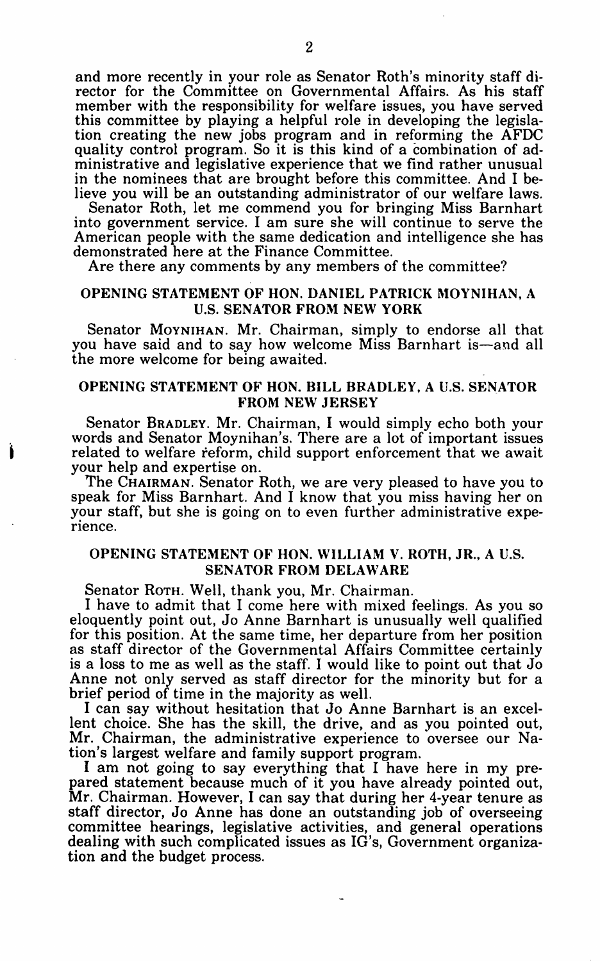and more recently in your role as Senator Roth's minority staff director for the Committee on Governmental Affairs. As his staff member with the responsibility for welfare issues, you have served this committee by playing a helpful role in developing the legisla- tion creating the new jobs program and in reforming the AFDC quality control program. So it is this kind of a combination of administrative and legislative experience that we find rather unusual in the nominees that are brought before this committee. And I believe you will be an outstanding administrator of our welfare laws.

Senator Roth, let me commend you for bringing Miss Barnhart into government service. I am sure she will continue to serve the American people with the same dedication and intelligence she has demonstrated here at the Finance Committee.

Are there any comments by any members of the committee?

## OPENING STATEMENT OF HON. DANIEL PATRICK MOYNIHAN, A U.S. SENATOR FROM NEW YORK

Senator **MOYNIHAN.** Mr. Chairman, simply to endorse all that you have said and to say how welcome Miss Barnhart is—and all the more welcome for being awaited.

## OPENING STATEMENT OF HON. BILL BRADLEY, A U.S. SENATOR FROM NEW JERSEY

Senator BRADLEY. Mr. Chairman, I would simply echo both your words and Senator Moynihan's. There are a lot of important issues related to welfare reform, child support enforcement that we await your help and expertise on.

The CHAIRMAN. Senator Roth, we are very pleased to have you to speak for Miss Barnhart. And I know that you miss having her on your staff, but she is going on to even further administrative experience.

## OPENING STATEMENT OF HON. WILLIAM V. ROTH, JR., **A** U.S. SENATOR FROM DELAWARE

Senator ROTH. Well, thank you, Mr. Chairman.

I have to admit that I come here with mixed feelings. As you so eloquently point out, Jo Anne Barnhart is unusually well qualified for this position. At the same time, her departure from her position as staff director of the Governmental Affairs Committee certainly is a loss to me as well as the staff. I would like to point out that Jo Anne not only served as staff director for the minority but for a brief period of time in the majority as well.

I can say without hesitation that Jo Anne Barnhart is an excellent choice. She has the skill, the drive, and as you pointed out, Mr. Chairman, the administrative experience to oversee our Nation's largest welfare and family support program.

I am not going to say everything that I have here in my pre- pared statement because much of it you have already pointed out, Mr. Chairman. However, I can say that during her 4-year tenure as staff director, Jo Anne has done an outstanding job of overseeing committee hearings, legislative activities, and general operations dealing with such complicated issues as IG's, Government organization and the budget process.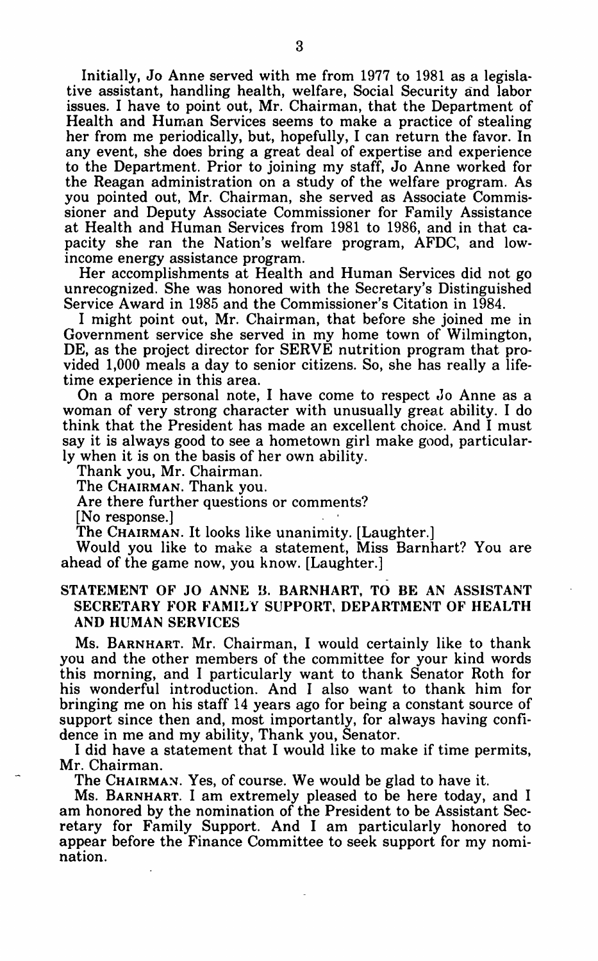Initially, Jo Anne served with me from 1977 to 1981 as a legislative assistant, handling health, welfare, Social Security and labor issues. I have to point out, Mr. Chairman, that the Department of Health and Human Services seems to make a practice of stealing her from me periodically, but, hopefully, I can return the favor. In any event, she does bring a great deal of expertise and experience to the Department. Prior to joining my staff, Jo Anne worked for the Reagan administration on a study of the welfare program. As you pointed out, Mr. Chairman, she served as Associate Commissioner and Deputy Associate Commissioner for Family Assistance at Health and Human Services from 1981 to 1986, and in that capacity she ran the Nation's welfare program, AFDC, and lowincome energy assistance program.

Her accomplishments at Health and Human Services did not go unrecognized. She was honored with the Secretary's Distinguished Service Award in 1985 and the Commissioner's Citation in 1984.

I might point out, Mr. Chairman, that before she joined me in Government service she served in my home town of Wilmington, DE, as the project director for SERVE nutrition program that provided 1,000 meals a day to senior citizens. So, she has really a lifetime experience in this area.

On a more personal note, I have come to respect Jo Anne as a woman of very strong character with unusually great ability. I do think that the President has made an excellent choice. And I must say it is always good to see a hometown girl make good, particular- ly when it is on the basis of her own ability.

Thank you, Mr. Chairman.

The CHAIRMAN. Thank you.

Are there further questions or comments?

[No response.]

The CHAIRMAN. It looks like unanimity. [Laughter.]

Would you like to make a statement, Miss Barnhart? You are ahead of the game now, you know. [Laughter.]

## STATEMENT OF JO ANNE B. BARNHART, TO BE AN ASSISTANT SECRETARY FOR FAMILY SUPPORT, DEPARTMENT OF HEALTH AND HUMAN SERVICES

Ms. BARNHART. Mr. Chairman, I would certainly like to thank you and the other members of the committee for your kind words this morning, and I particularly want to thank Senator Roth for his wonderful introduction. And I also want to thank him for bringing me on his staff 14 years ago for being a constant source of support since then and, most importantly, for always having confidence in me and my ability, Thank you, Senator.

I did have a statement that I would like to make if time permits, Mr. Chairman.

The CHAIRMAN. Yes, of course. We would be glad to have it.

Ms. BARNHART. I am extremely pleased to be here today, and I am honored by the nomination of the President to be Assistant Secretary for Family Support. And I am particularly honored to appear before the Finance Committee to seek support for my nomination.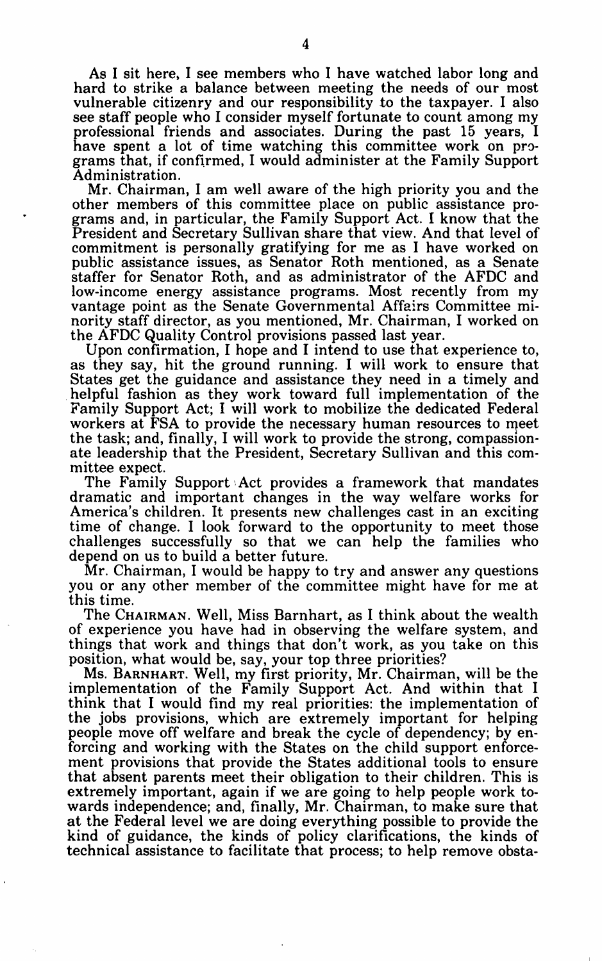As I sit here, I see members who I have watched labor long and hard to strike a balance between meeting the needs of our most vulnerable citizenry and our responsibility to the taxpayer. I also see staff people who I consider myself fortunate to count among my professional friends and associates. During the past 15 years, I have spent a lot of time watching this committee work on programs that, if confirmed, I would administer at the Family Support Administration.

Mr. Chairman, I am well aware of the high priority you and the other members of this committee place on public assistance programs and, in particular, the Family Support Act. I know that the President and Secretary Sullivan share that view. And that level of commitment is personally gratifying for me as I have worked on public assistance issues, as Senator Roth mentioned, as a Senate staffer for Senator Roth, and as administrator of the AFDC and low-income energy assistance programs. Most recently from my vantage point as the Senate Governmental Affairs Committee minority staff director, as you mentioned, Mr. Chairman, I worked on the AFDC Quality Control provisions passed last year.

Upon confirmation, I hope and I intend to use that experience to, as they say, hit the ground running. I will work to ensure that States get the guidance and assistance they need in a timely and helpful fashion as they work toward full implementation of the Family Support Act; I will work to mobilize the dedicated Federal workers at FSA to provide the necessary human resources to meet the task; and, finally, I will work to provide the strong, compassionate leadership that the President, Secretary Sullivan and this committee expect.

The Family Support Act provides a framework that mandates dramatic and important changes in the way welfare works for America's children. It presents new challenges cast in an exciting time of change. I look forward to the opportunity to meet those challenges successfully so that we can help the families who depend on us to build a better future.

Mr. Chairman, I would be happy to try and answer any questions you or any other member of the committee might have for me at this time.

The CHAIRMAN. Well, Miss Barnhart, as I think about the wealth of experience you have had in observing the welfare system, and things that work and things that don't work, as you take on this position, what would be, say, your top three priorities?

Ms. BARNHART. Well, my first priority, Mr. Chairman, will be the implementation of the Family Support Act. And within that I think that I would find my real priorities: the implementation of the jobs provisions, which are extremely important for helping people move off welfare and break the cycle of dependency; by enforcing and working with the States on the child support enforcement provisions that provide the States additional tools to ensure that absent parents meet their obligation to their children. This is extremely important, again if we are going to help people work towards independence; and, finally, Mr. Chairman, to make sure that at the Federal level we are doing everything possible to provide the kind of guidance, the kinds of policy clarifications, the kinds of technical assistance to facilitate that process; to help remove obsta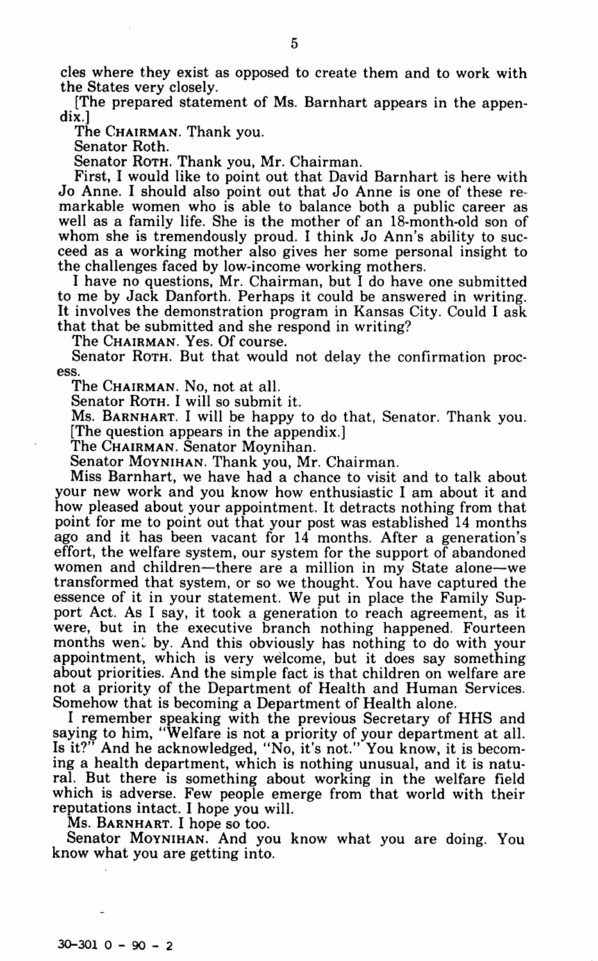cles where they exist as opposed to create them and to work with the States very closely.

[The prepared statement of Ms. Barnhart appears in the appendix.]

The CHAIRMAN. Thank you.

Senator Roth.

Senator ROTH. Thank you, Mr. Chairman.

First, I would like to point out that David Barnhart is here with Jo Anne. I should also point out that Jo Anne is one of these remarkable women who is able to balance both a public career as well as a family life. She is the mother of an 18-month-old son of whom she is tremendously proud. I think Jo Ann's ability to succeed as a working mother also gives her some personal insight to the challenges faced by low-income working mothers.

I have no questions, Mr. Chairman, but I do have one submitted to me by Jack Danforth. Perhaps it could be answered in writing. It involves the demonstration program in Kansas City. Could I ask that that be submitted and she respond in writing?

The CHAIRMAN. Yes. Of course.

Senator ROTH. But that would not delay the confirmation process.

The CHAIRMAN. No, not at all.

Senator ROTH. I will so submit it.

Ms. BARNHART. I will be happy to do that, Senator. Thank you.<br>[The question appears in the appendix.]<br>The CHAIRMAN. Senator Moynihan.

Senator MOYNIHAN. Thank you, Mr. Chairman.

Miss Barnhart, we have had a chance to visit and to talk about your new work and you know how enthusiastic I am about it and how pleased about your appointment. It detracts nothing from that point for me to point out that your post was established 14 months ago and it has been vacant for 14 months. After a generation's effort, the welfare system, our system for the support of abandoned women and children-there are a million in my State alone-we transformed that system, or so we thought. You have captured the essence of it in your statement. We put in place the Family Support Act. As I say, it took a generation to reach agreement, as it were, but in the executive branch nothing happened. Fourteen months wen. by. And this obviously has nothing to do with your appointment, which is very welcome, but it does say something about priorities. And the simple fact is that children on welfare are not a priority of the Department of Health and Human Services. Somehow that is becoming a Department of Health alone.

I remember speaking with the previous Secretary of HHS and saying to him, "Welfare is not a priority of your department at all. Is it?" And he acknowledged, "No, it's not." You know, it is becoming a health department, which is nothing unusual, and it is natural. But there is something about working in the welfare field which is adverse. Few people emerge from that world with their reputations intact. I hope you will.

Ms. BARNHART. I hope so too.

Senator MOYNIHAN. And you know what you are doing. You know what you are getting into.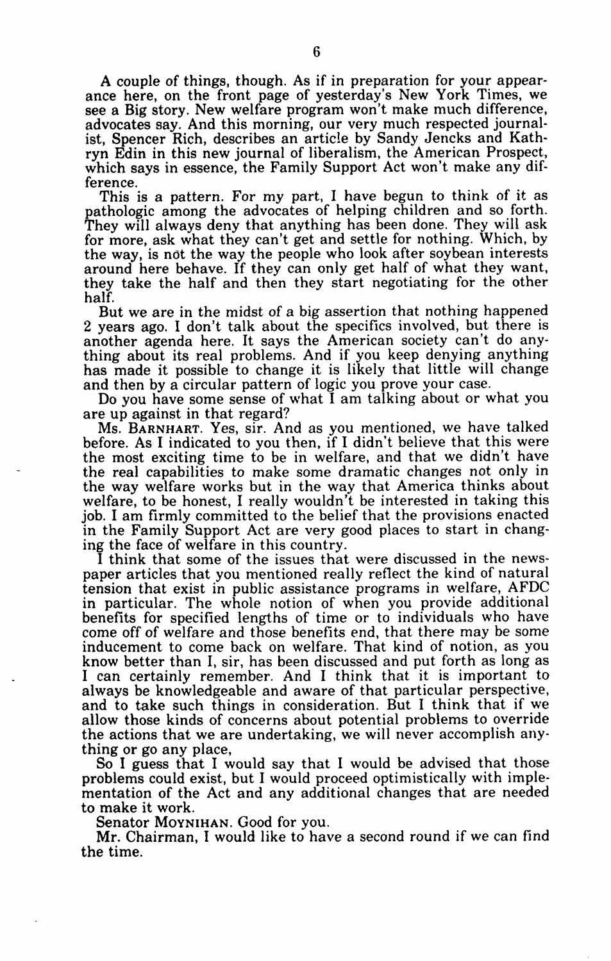A couple of things, though. As if in preparation for your appearance here, on the front page of yesterday's New York Times, we see a Big story. New welfare program won't make much difference, advocates say. And this morning, our very much respected journalist, Spencer Rich, describes an article by Sandy Jencks and Kathryn Edin in this new journal of liberalism, the American Prospect, which says in essence, the Family Support Act won't make any difference.

This is a pattern. For my part, I have begun to think of it as pathologic among the advocates of helping children and so forth. They will always deny that anything has been done. They will ask for more, ask what they can't get and settle for nothing. Which, by the way, is not the way the people who look after soybean interests around here behave. If they can only get half of what they want, they take the half and then they start negotiating for the other half.

But we are in the midst of a big assertion that nothing happened 2 years ago. I don't talk about the specifics involved, but there is another agenda here. It says the American society can't do anything about its real problems. And if you keep denying anything has made it possible to change it is likely that little will change and then by a circular pattern of logic you prove your case.

Do you have some sense of what I am talking about or what you are up against in that regard?

Ms. BARNHART. Yes, sir. And as you mentioned, we have talked before. As I indicated to you then, if I didn't believe that this were the most exciting time to be in welfare, and that we didn't have the real capabilities to make some dramatic changes not only in the way welfare works but in the way that America thinks about welfare, to be honest, I really wouldn't be interested in taking this job. I am firmly committed to the belief that the provisions enacted in the Family Support Act are very good places to start in changing the face of welfare in this country.

I think that some of the issues that were discussed in the newspaper articles that you mentioned really reflect the kind of natural tension that exist in public assistance programs in welfare, AFDC in particular. The whole notion of when you provide additional benefits for specified lengths of time or to individuals who have come off of welfare and those benefits end, that there may be some inducement to come back on welfare. That kind of notion, as you know better than I, sir, has been discussed and put forth as long as I can certainly remember. And I think that it is important to always be knowledgeable and aware of that particular perspective, and to take such things in consideration. But I think that if we allow those kinds of concerns about potential problems to override the actions that we are undertaking, we will never accomplish anything or go any place,

So I guess that I would say that I would be advised that those problems could exist, but I would proceed optimistically with implementation of the Act and any additional changes that are needed to make it work.

Senator MOYNIHAN. Good for you.

Mr. Chairman, I would like to have a second round if we can find the time.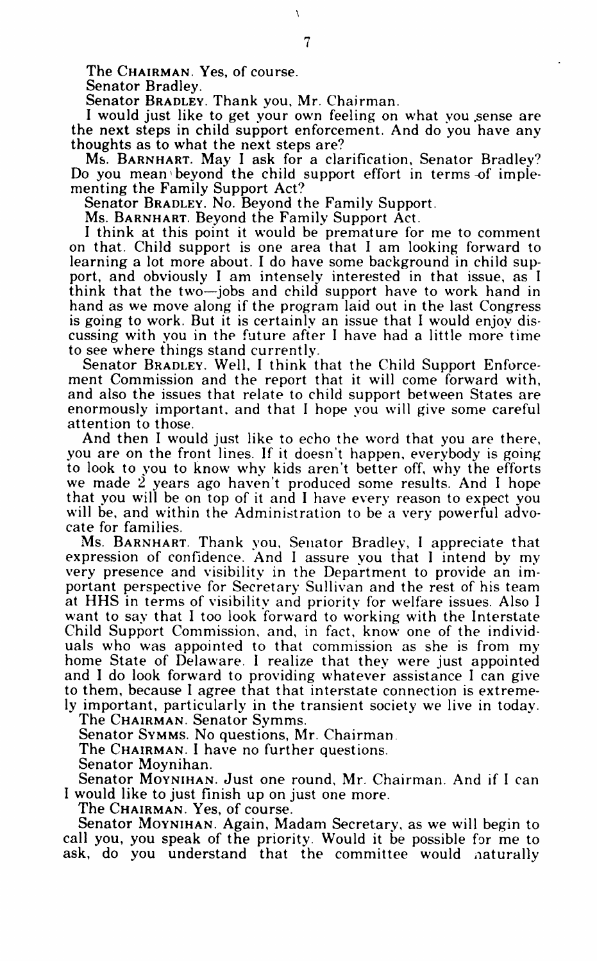**7**

The CHAIRMAN. Yes, of course.

Senator Bradley.

Senator BRADLEY. Thank you, Mr. Chairman.

I would just like to get your own feeling on what you .sense are the next steps in child support enforcement. And do you have any thoughts as to what the next steps are?

Ms. BARNHART. May I ask for a clarification, Senator Bradley? Do you mean beyond the child support effort in terms -of imple- menting the Family Support Act?

Senator BRADLEY. No. Beyond the Family Support.

Ms. BARNHART. Beyond the Family Support Act.

I think at this point it would be premature for me to comment on that. Child support is one area that I am looking forward to learning a lot more about. I do have some background in child support, and obviously I am intensely interested in that issue, as I think that the two-jobs and child support have to work hand in hand as we move along if the program laid out in the last Congress is going to work. But it is certainly an issue that I would enjoy discussing with you in the future after I have had a little more time to see where things stand currently.

Senator BRADLEY. Well, I think that the Child Support Enforcement Commission and the report that it will come forward with, and also the issues that relate to child support between States are enormously important, and that I hope you will give some careful attention to those.

And then I would just like to echo the word that you are there, you are on the front lines. If it doesn't happen, everybody is going to look to you to know why kids aren't better off, why the efforts we made 2 years ago haven't produced some results. And I hope that you will be on top of it and I have every reason to expect you will be, and within the Administration to be a very powerful advocate for families.

Ms. BARNHART. Thank you, Senator Bradley, I appreciate that expression of confidence. And I assure you that **I** intend by my very presence and visibility in the Department to provide an important perspective for Secretary Sullivan and the rest of his team at HHS in terms of visibility and priority for welfare issues. Also I want to say that I too look forward to working with the Interstate Child Support Commission, and, in fact, know one of the individuals who was appointed to that commission as she is from my home State of Delaware. 1 realize that they were just appointed and I do look forward to providing whatever assistance I can give to them, because I agree that that interstate connection is extremely important, particularly in the transient society we live in today.

The CHAIRMAN. Senator Symms. Senator SYMMS. No questions, Mr. Chairman. The CHAIRMAN. I have no further questions. Senator Moynihan.<br>Senator Моумінам. Just one round, Mr. Chairman. And if I can

I would like to just finish up on just one more.

The CHAIRMAN. Yes, of course.

Senator MOYNIHAN. Again, Madam Secretary, as we will begin to call you, you speak of the priority. Would it be possible for me to ask, do you understand that the committee would naturally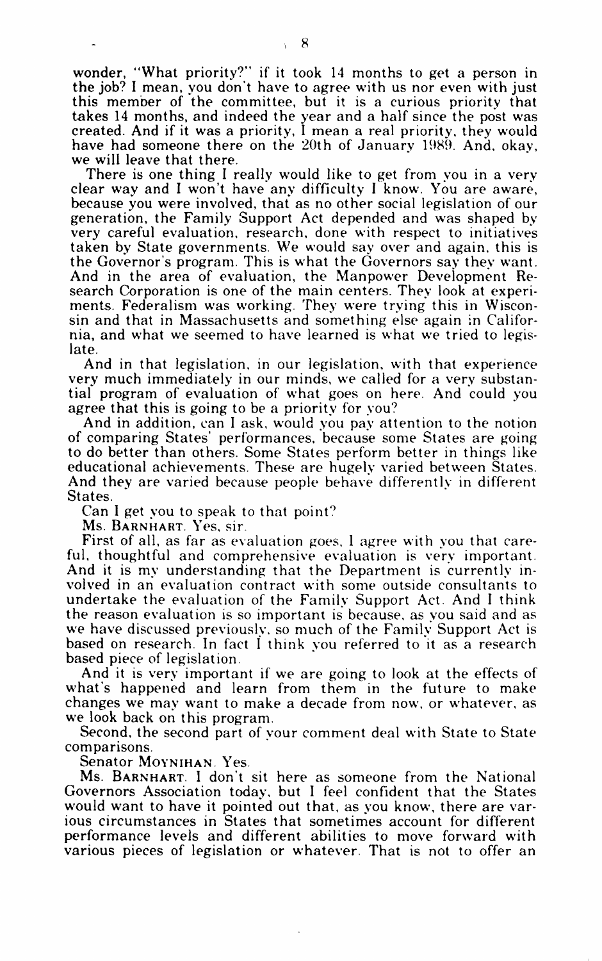wonder, "What priority?" if it took 14 months to get a person in the job? I mean, you don't have to agree with us nor even with just this member of the committee, but it is a curious priority that takes 14 months, and indeed the year and a half since the post was created. And if it was a priority, I mean a real priority, they would have had someone there on the 20th of January 1989. And, okay, we will leave that there.

There is one thing I really would like to get from you in a very clear way and I won't have any' difficulty I know. You are aware, because you were involved, that as no other social legislation of our generation, the Family Support Act depended and was shaped by very careful evaluation, research, done with respect to initiatives taken by State governments. We would say over and again, this is the Governor's program. This is what the Governors say they want. And in the area of evaluation, the Manpower Development Research Corporation is one of the main centers. They' look at experiments. Federalism was working. They were trying this in Wisconsin and that in Massachusetts and something else again in California, and what we seemed to have learned is what we tried to legislate.

And in that legislation, in our legislation, with that experience very much immediately in our minds, we called for a very substantial program of evaluation of what goes on here. And could you agree that this is going to be a priority for you?

And in addition, can I ask, would you pay attention to the notion of comparing States' performances, because some States are going to do better than others. Some States perform better in things like educational achievements. These are hugely varied between States. And they are varied because people behave differently in different States.

Can I get you to speak to that point?

Ms. BARNHART. Yes, sir.

First of all, as far as evaluation goes, 1 agree with you that careful, thoughtful and comprehensive evaluation is very important. And it is my understanding that the Department is currently involved in an evaluation contract with some outside consultants to undertake the evaluation of the Family Support Act. And I think the reason evaluation is so important is because, as you said and as we have discussed previously, so much of the Family Support Act is based on research. In fact I think you referred to it as a research based piece of legislation.

And it is very important if we are going to look at the effects of what's happened and learn from them in the future to make changes we may want to make a decade from now, or whatever, as we look back on this program.

Second, the second part of your comment deal with State to State comparisons.

Senator **MOYNIHAN.** Yes.

Ms. BARNHART. I don't sit here as someone from the National Governors Association today, but I feel confident that the States would want to have it pointed out that, as you know, there are various circumstances in States that sometimes account for different performance levels and different abilities to move forward with various pieces of legislation or whatever. That is not to offer an

í.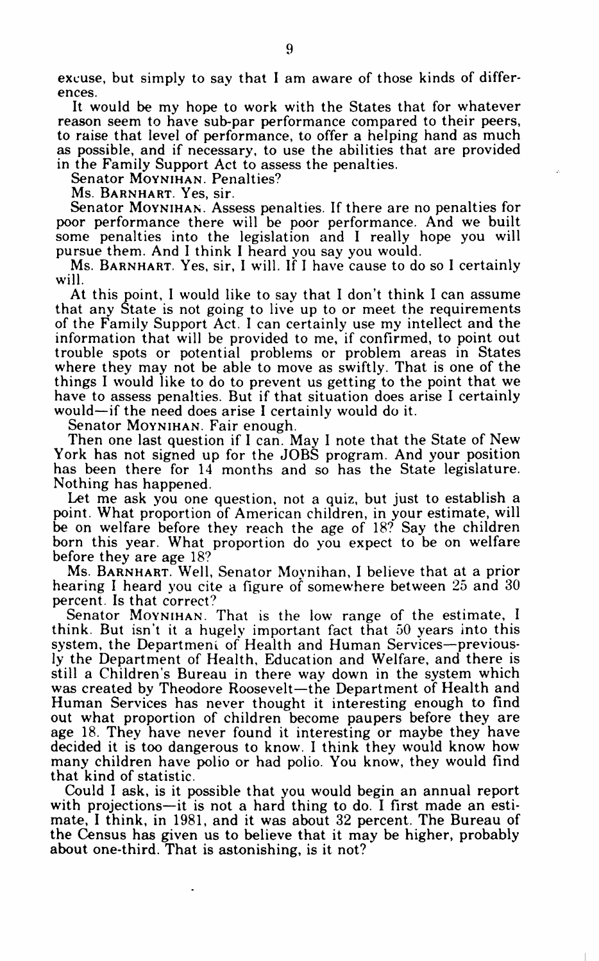excuse, but simply to say that I am aware of those kinds of differences.

It would be my hope to work with the States that for whatever reason seem to have sub-par performance compared to their peers, to raise that level of performance, to offer a helping hand as much as possible, and if necessary, to use the abilities that are provided in the Family Support Act to assess the penalties.

Senator **MOYNIHAN.** Penalties?

Ms. BARNHART. Yes, sir.

Senator MOYNIHAN. Assess penalties. If there are no penalties for poor performance there will be poor performance. And we built some penalties into the legislation and I really hope you will pursue them. And I think I heard you say you would.

Ms. BARNHART. Yes, sir, I will. If **I** have cause to do so I certainly will.

At this point, I would like to say that I don't think I can assume that any State is not going to live up to or meet the requirements of the Family Support Act. I can certainly use my intellect and the information that will be provided to me, if confirmed, to point out trouble spots or potential problems or problem areas in States where they may not be able to move as swiftly. That is one of the things I would like to do to prevent us getting to the point that we have to assess penalties. But if that situation does arise I certainly would-if the need does arise I certainly would do it.

Senator MOYNIHAN. Fair enough.

Then one last question if I can. May I note that the State of New York has not signed up for the JOBS program. And your position has been there for 14 months and so has the State legislature. Nothing has happened.

Let me ask you one question, not a quiz, but just to establish a point. What proportion of American children, in your estimate, will be on welfare before they reach the age of 18? Say the children born this year. What proportion do you expect to be on welfare before they are age 18?

Ms. BARNHART. Well, Senator Moynihan, I believe that at a prior hearing I heard you cite a figure of somewhere between 25 and 30 percent. Is that correct?

Senator **MOYNIHAN.** That is the low range of the estimate, I think. But isn't it a hugely important fact that 50 years into this system, the Department of Health and Human Services-previous-ly the Department of Health, Education and Welfare, and there is still a Children's Bureau in there way down in the system which was created by Theodore Roosevelt—the Department of Health and Human Services has never thought it interesting enough to find out what proportion of children become paupers before they are age 18. They have never found it interesting or maybe they have decided it is too dangerous to know. I think they would know how many children have polio or had polio. You know, they would find that kind of statistic.

Could I ask, is it possible that you would begin an annual report with projections-it is not a hard thing to do. I first made an estimate, I think, in 1981, and it was about 32 percent. The Bureau of the Census has given us to believe that it may be higher, probably about one-third. That is astonishing, is it not?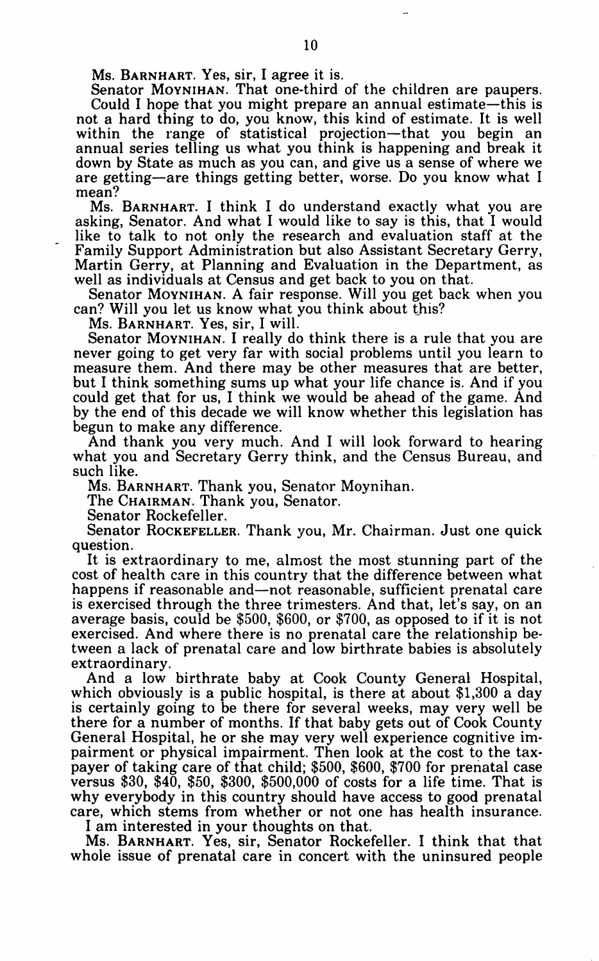Ms. BARNHART. Yes, sir, I agree it is.

Senator **MOYNIHAN.** That one-third of the children are paupers. Could I hope that you might prepare an annual estimate—this is not a hard thing to do, you know, this kind of estimate. It is well within the range of statistical projection-that you begin an annual series telling us what you think is happening and break it down by State as much as you can, and give us a sense of where we are getting-are things getting better, worse. Do you know what I mean?

Ms. BARNHART. I think I do understand exactly what you are asking, Senator. And what I would like to say is this, that I would like to talk to not only the research and evaluation staff at the Family Support Administration but also Assistant Secretary Gerry, Martin Gerry, at Planning and Evaluation in the Department, as well as individuals at Census and get back to you on that.

Senator MOYNIHAN. A fair response. Will you get back when you can? Will you let us know what you think about this?

Ms. BARNHART. Yes, sir, I will.

Senator MOYNIHAN. I really do think there is a rule that you are never going to get very far with social problems until you learn to measure them. And there may be other measures that are better, but I think something sums up what your life chance is. And if you could get that for us, I think we would be ahead of the game. And by the end of this decade we will know whether this legislation has begun to make any difference.

And thank you very much. And I will look forward to hearing what you and Secretary Gerry think, and the Census Bureau, and such like.

Ms. BARNHART. Thank you, Senator Moynihan.

The CHAIRMAN. Thank you, Senator.

Senator Rockefeller.

Senator ROCKEFELLER. Thank you, Mr. Chairman. Just one quick question.

It is extraordinary to me, almost the most stunning part of the cost of health care in this country that the difference between what happens if reasonable and—not reasonable, sufficient prenatal care is exercised through the three trimesters. And that, let's say, on an average basis, could be \$500, \$600, or \$700, as opposed to if it is not exercised. And where there is no prenatal care the relationship between a lack of prenatal care and low birthrate babies is absolutely

extraordinary. And a low birthrate baby at Cook County General Hospital, which obviously is a public hospital, is there at about \$1,300 a day is certainly going to be there for several weeks, may very well be there for a number of months. If that baby gets out of Cook County General Hospital, he or she may very well experience cognitive impairment or physical impairment. Then look at the cost to the taxpayer of taking care of that child; \$500, \$600, \$700 for prenatal case versus \$30, \$40, \$50, \$300, \$500,000 of costs for a life time. That is why everybody in this country should have access to good prenatal care, which stems from whether or not one has health insurance.

I am interested in your thoughts on that.

Ms. BARNHART. Yes, sir, Senator Rockefeller. I think that that whole issue of prenatal care in concert with the uninsured people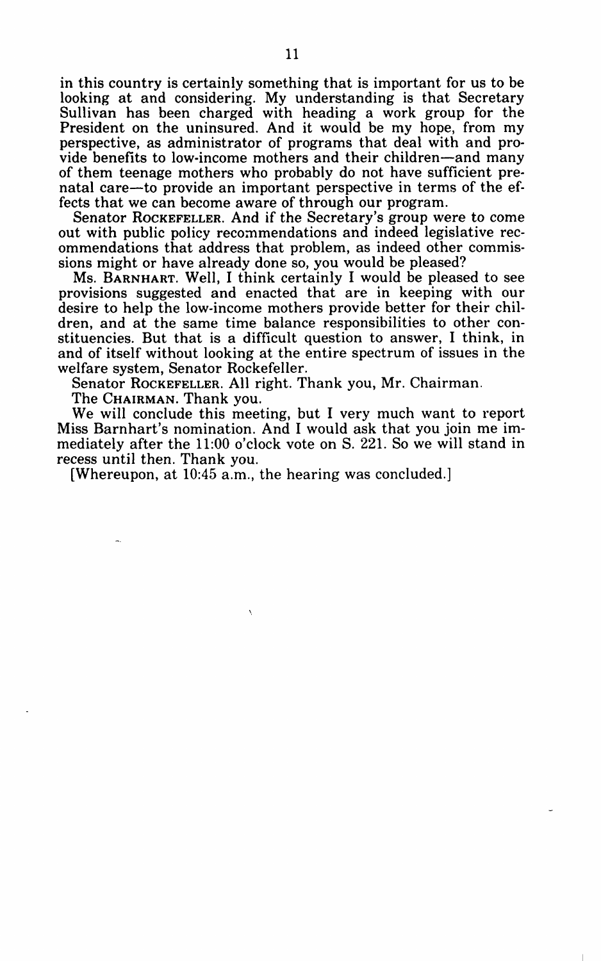in this country is certainly something that is important for us to be looking at and considering. My understanding is that Secretary Sullivan has been charged with heading a work group for the President on the uninsured. And it would be my hope, from my perspective, as administrator of programs that deal with and provide benefits to low-income mothers and their children-and many of them teenage mothers who probably do not have sufficient prenatal care-to provide an important perspective in terms of the effects that we can become aware of through our program.

Senator ROCKEFELLER. And if the Secretary's group were to come out with public policy recommendations and indeed legislative recommendations that address that problem, as indeed other commissions might or have already done so, you would be pleased?

Ms. BARNHART. Well, I think certainly I would be pleased to see provisions suggested and enacted that are in keeping with our desire to help the low-income mothers provide better for their children, and at the same time balance responsibilities to other constituencies. But that is a difficult question to answer, I think, in and of itself without looking at the entire spectrum of issues in the welfare system, Senator Rockefeller.

Senator ROCKEFELLER. All right. Thank you, Mr. Chairman.

The CHAIRMAN. Thank you.

We will conclude this meeting, but I very much want to report Miss Barnhart's nomination. And I would ask that you join me immediately after the 11:00 o'clock vote on **S.** 221. So we will stand in recess until then. Thank you.

[Whereupon, at 10:45 a.m., the hearing was concluded.]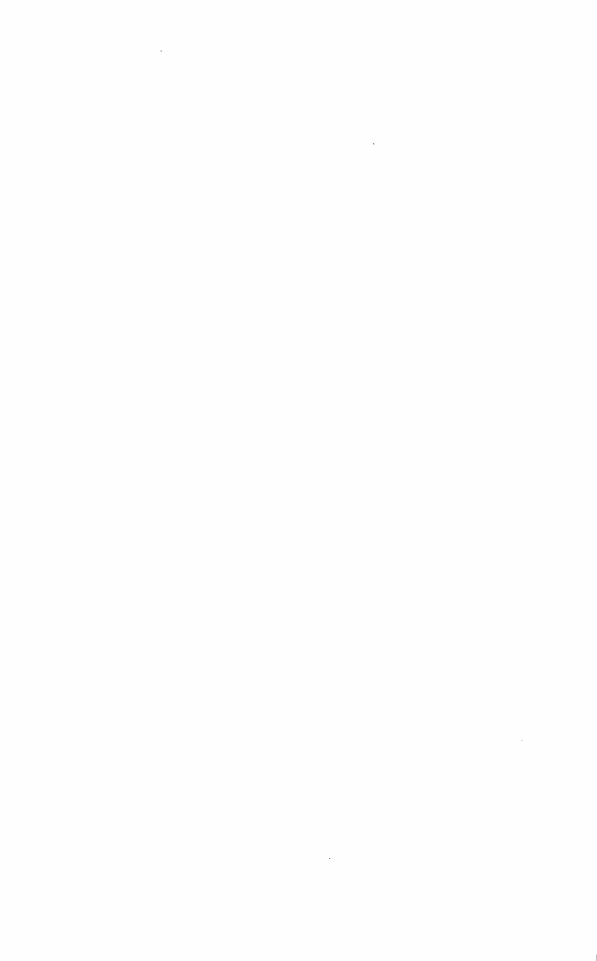$\mathcal{L}^{\text{max}}_{\text{max}}$  $\mathcal{L}^{\text{max}}_{\text{max}}$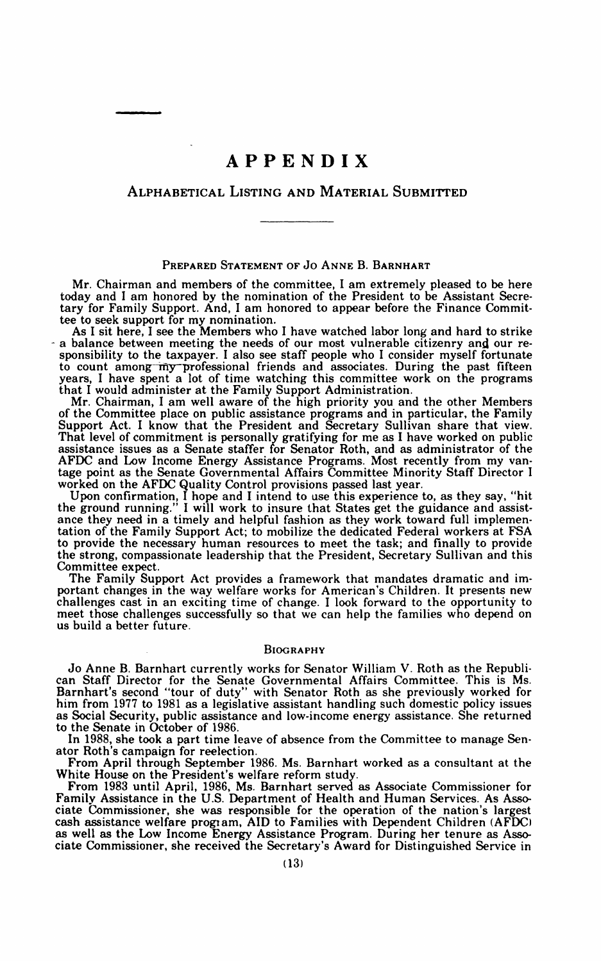## **APPENDIX**

## ALPHABETICAL LISTING **AND** MATERIAL SUBMITTED

#### PREPARED **STATEMENT** OF Jo **ANNE** B. BARNHART

Mr. Chairman and members of the committee, I am extremely pleased to be here today and I am honored by the nomination of the President to be Assistant Secretary for Family Support. And, I am honored to appear before the Finance Committee to seek support for my nomination.

As I sit here, I see the Members who I have watched labor long and hard to strike a balance between meeting the needs of our most vulnerable citizenry and our responsibility to the taxpayer. I also see staff people who I consider myself fortunate to count among my professional friends and associates. During the past fifteen years, I have spent a lot of time watching this committee work on the programs<br>that I would administer at the Family Support Administration.

Mr. Chairman, I am well aware of the high priority you and the other Members of the Committee place on public assistance programs and in particular, the Family Support Act. I know that the President and Secretary Sullivan share that view. That level of commitment is personally gratifying for me as I have worked on public assistance issues as a Senate staffer for Senator Roth, and as administrator of the AFDC and Low Income Energy Assistance Programs. Most recently from my vantage point as the Senate Governmental Affairs Committee Minority Staff Director I worked on the AFDC Quality Control provisions passed last year.

Upon confirmation, I hope and I intend to use this experience to, as they say, "hi the ground running." I will work to insure that States get the guidance and assistance they need in a timely and helpful fashion as they work toward full implemen- tation of the Family Support Act; to mobilize the dedicated Federal workers at FSA to provide the necessary human resources to meet the task; and finally to provide the strong, compassionate leadership that the President, Secretary Sullivan and this Committee expect.<br>The Family Support Act provides a framework that mandates dramatic and im-

portant changes in the way welfare works for American's Children. It presents new challenges cast in an exciting time of change. I look forward to the opportunity to meet those challenges successfully so that we can help the families who depend on us build a better future.

#### BIOGRAPHY

Jo Anne B. Barnhart currently works for Senator William V. Roth as the Republican Staff Director for the Senate Governmental Affairs Committee. This is Ms. Barnhart's second "tour of duty" with Senator Roth as she previously worked for him from 1977 to 1981 as a legislative assistant handling such domestic policy issues as Social Security, public assistance and low-income energy assistance. She returned to the Senate in October of 1986.

In 1988, she took a part time leave of absence from the Committee to manage Senator Roth's campaign for reelection.

From April through September 1986. Ms. Barnhart worked as a consultant at the White House on the President's welfare reform study.<br>From 1983 until April, 1986, Ms. Barnhart served as Associate Commissioner for

Family Assistance in the U.S. Department of Health and Human Services. As Associate Commissioner, she was responsible for the operation of the nation's largest cash assistance welfare program, AID to Families with Dependent Children (AFDC) as well as the Low Income Energy Assistance Program. During her tenure as Associate Commissioner, she received the Secretary's Award for Distinguished Service in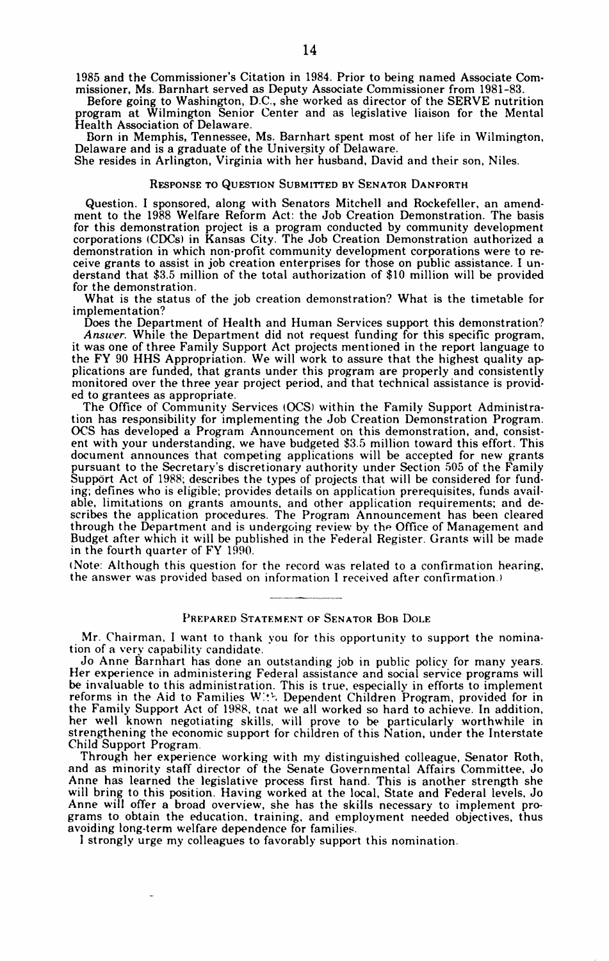1985 and the Commissioner's Citation in 1984. Prior to being named Associate Commissioner, Ms. Barnhart served as Deputy Associate Commissioner from 1981-83.

Before going to Washington, D.C., she worked as director of the SERVE nutrition program at Wilmington Senior Center and as legislative liaison for the Mental Health Association of Delaware.

Born in Memphis, Tennessee, Ms. Barnhart spent most of her life in Wilmington, Delaware and is a graduate of the University of Delaware.

She resides in Arlington, Virginia with her husband, David and their son, Niles.

#### RESPONSE TO QUESTION SUBMITTED BY SENATOR DANFORTH

Question. I sponsored, along with Senators Mitchell and Rockefeller, an amendment to the 1988 Welfare Reform Act: the Job Creation Demonstration. The basis for this demonstration project is a program conducted by community development corporations (CDCs) in Kansas City. The Job Creation Demonstration authorized a demonstration in which non-profit community development corporations were to receive grants to assist in job creation enterprises for those on public assistance. **I** understand that \$3.5 million of the total authorization of \$10 million will be provided for the demonstration.

What is the status of the job creation demonstration? What is the timetable for implementation?

Does the Department of Health and Human Services support this demonstration? *Answer.* While the Department did not request funding for this specific program, it was one of three Family Support Act projects mentioned in the report language to the FY 90 HHS Appropriation. We will work to assure that the highest quality applications are funded, that grants under this program are properly and consistently monitored over the three year project period, and that technical assistance is provided to grantees as appropriate.

The Office of Community Services **(OCS)** within the Family Support Administration has responsibility for implementing the Job Creation Demonstration Program. OCS has developed a Program Announcement on this demonstration, and, consistent with your understanding, we have budgeted \$3.5 million toward this effort. This document announces that competing applications will be accepted for new grants pursuant to the Secretary's discretionary authority under Section 505 of the Family Support Act of 1988; describes the types of projects that will be considered for funding; defines who is eligible; provides details on application prerequisites, funds available, limitations on grants amounts, and other application requirements; and describes the application procedures. The Program Announcement has been cleared through the Department and is undergoing review by the Office of Management and Budget after which it will be published in the Federal Register. Grants will be made in the fourth quarter of FY 1990.

(Note: Although this question for the record was related to a confirmation hearing, the answer was provided based on information I received after confirmation.)

#### PREPARED **STATEMENT** OF **SENATOR** BOB DOLE

Mr. Chairman, I want to thank you for this opportunity to support the nomination of a very capability candidate.

Jo Anne Barnhart has done an outstanding job in public policy for many years. Her experience in administering Federal assistance and social service programs will be invaluable to this administration. This is true, especially in efforts to implement reforms in the Aid to Families With Dependent Children Program, provided for in the Family Support Act of 1988, tnat we all worked so hard to achieve. In addition, her well known negotiating skills, will prove to be particularly worthwhile in strengthening the economic support for children of this Nation, under the Interstate Child Support Program.

Through her experience working with my distinguished colleague, Senator Roth, and as minority staff director of the Senate Governmental Affairs Committee, Jo Anne has learned the legislative process first hand. This is another strength she will bring to this position. Having worked at the local, State and Federal levels, Jo Anne will offer a broad overview, she has the skills necessary to implement programs to obtain the education, training, and employment needed objectives, thus avoiding long-term welfare dependence for families.

I strongly urge my colleagues to favorably support this nomination.